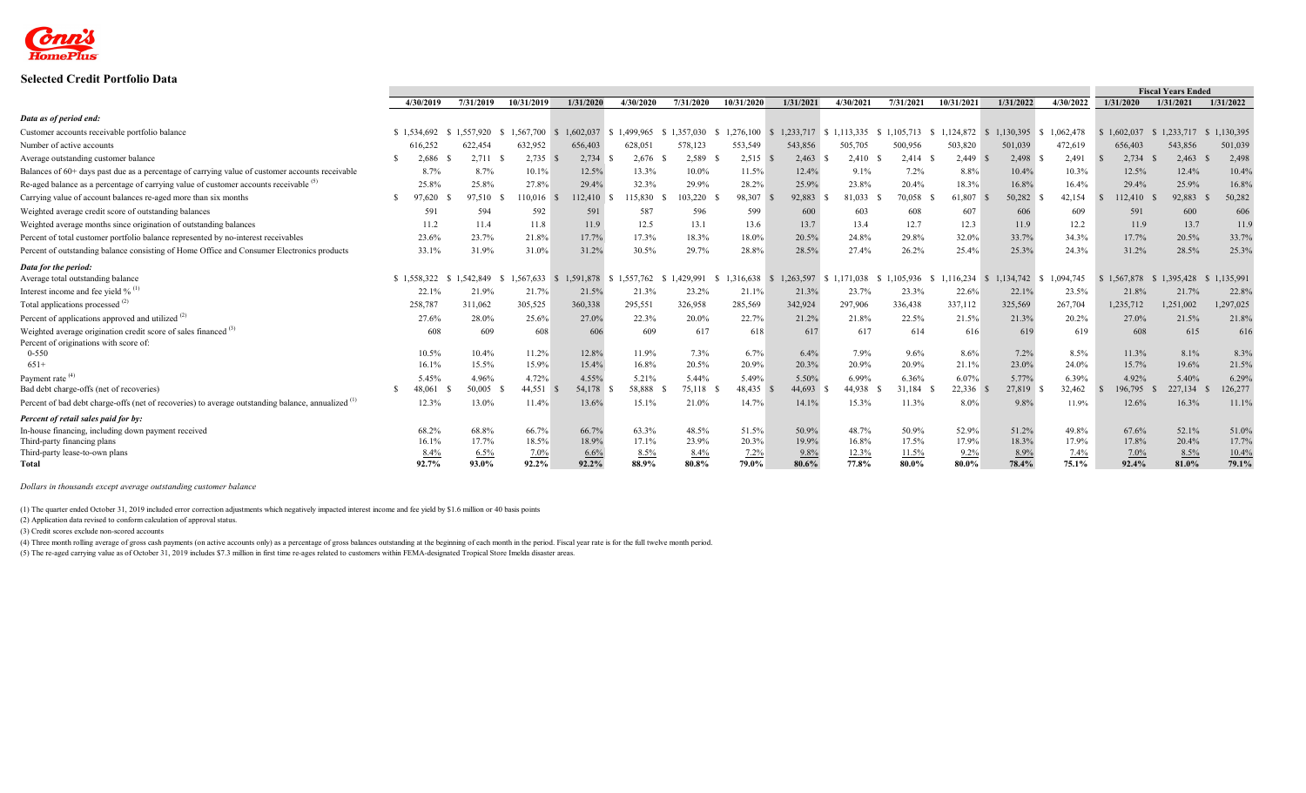

## **Selected Credit Portfolio Data**

|                                                                                                    |             |           |            |           |                        |           |            |               |           |           |            |              |                 |           | <b>Fiscal Years Ended</b> |           |  |
|----------------------------------------------------------------------------------------------------|-------------|-----------|------------|-----------|------------------------|-----------|------------|---------------|-----------|-----------|------------|--------------|-----------------|-----------|---------------------------|-----------|--|
|                                                                                                    | 4/30/2019   | 7/31/2019 | 10/31/2019 | 1/31/2020 | 4/30/2020              | 7/31/2020 | 10/31/2020 | 1/31/2021     | 4/30/2021 | 7/31/2021 | 10/31/2021 | 1/31/2022    | 4/30/2022       | 1/31/2020 | 1/31/2021                 | 1/31/2022 |  |
| Data as of period end:                                                                             |             |           |            |           |                        |           |            |               |           |           |            |              |                 |           |                           |           |  |
| Customer accounts receivable portfolio balance                                                     | \$1.534.692 | .557.920  | 1.567.700  | 1,602,037 | \$1.499,965            | 357.030   | 1.276.100  | 1.233.717     | 1.113.335 |           | 1.124.872  | 1,130,395    | 1.062.478<br>-8 | 1.602.037 | 1.233.717                 | 1,130,395 |  |
| Number of active accounts                                                                          | 616,252     | 622,454   | 632,952    | 656,403   | 628,051                | 578,123   | 553,549    | 543,856       | 505,705   | 500,956   | 503,820    | 501,039      | 472,619         | 656,403   | 543,856                   | 501,039   |  |
| Average outstanding customer balance                                                               | 2.686       | 2,711     | 2,735      | 2,734     | 2,676                  | 2,589     | 2,515      | 2,463         | 2,410     | 2,414     | 2,449      | 2,498        | 2,491           | 2,734     | 2,463                     | 2,498     |  |
| Balances of 60+ days past due as a percentage of carrying value of customer accounts receivable    | 8.7%        | 8.7%      | 10.1%      | 12.5%     | 13.3%                  | 10.0%     | 11.5%      | 12.4%         | 9.1%      | 7.2%      | 8.8%       | 10.4%        | 10.3%           | 12.5%     | 12.4%                     | 10.4%     |  |
| Re-aged balance as a percentage of carrying value of customer accounts receivable <sup>(3)</sup>   | 25.8%       | 25.8%     | 27.8%      | 29.4%     | 32.3%                  | 29.9%     | 28.2%      | 25.9%         | 23.8%     | 20.4%     | 18.3%      | 16.8%        | 16.4%           | 29.4%     | 25.9%                     | 16.8%     |  |
| Carrying value of account balances re-aged more than six months                                    | 97.620      | 97.510    | 10,016     | 112,410   | 115,830                | 103.220   | 98,307     | 92,883        | 81.033    | 70,058    | 61,807     | 50,282 \$    | 42.154          | 112,410   | 92.883                    | 50,282    |  |
| Weighted average credit score of outstanding balances                                              | 591         | 594       | 592        | 591       | 587                    | 596       | 599        | 600           | 603       | 608       | 607        | 606          | 609             | 591       | 600                       | 606       |  |
| Weighted average months since origination of outstanding balances                                  | 11.2        | 11.4      | 11.8       | 11.9      | 12.5                   | 13.1      | 13.6       | 13.7          | 13.4      | 12.7      | 12.3       | 11.9         | 12.2            | 11.9      | 13.7                      | 11.9      |  |
| Percent of total customer portfolio balance represented by no-interest receivables                 | 23.6%       | 23.7%     | 21.8%      | 17.7%     | 17.3%                  | 18.3%     | 18.0%      | 20.5%         | 24.8%     | 29.8%     | 32.0%      | 33.7%        | 34.3%           | 17.7%     | 20.5%                     | 33.7%     |  |
| Percent of outstanding balance consisting of Home Office and Consumer Electronics products         | 33.1%       | 31.9%     | 31.0%      | 31.2%     | 30.5%                  | 29.7%     | 28.8%      | 28.5%         | 27.4%     | 26.2%     | 25.4%      | 25.3%        | 24.3%           | 31.2%     | 28.5%                     | 25.3%     |  |
| Data for the period:                                                                               |             |           |            |           |                        |           |            |               |           |           |            |              |                 |           |                           |           |  |
| Average total outstanding balance                                                                  | \$1,558,322 | .542.849  | 1.567.633  | <b>S</b>  | 1.591.878 \$ 1.557.762 | 429.991   | 1.316.638  | 1.263.597     | 1.171.038 | 105.936   | 16.234     | 1.134.742 \$ | 1.094.745       | 1.567.878 | 1.395.428                 | 1,135,991 |  |
| Interest income and fee yield $\%$ <sup>(1)</sup>                                                  | 22.1%       | 21.9%     | 21.7%      | 21.5%     | 21.3%                  | 23.2%     | 21.1%      | 21.3%         | 23.7%     | 23.3%     | 22.6%      | 22.1%        | 23.5%           | 21.8%     | 21.7%                     | 22.8%     |  |
| Total applications processed <sup>(2)</sup>                                                        | 258,787     | 311,062   | 305,525    | 360,338   | 295,551                | 326,958   | 285,569    | 342,924       | 297,906   | 336,438   | 337,112    | 325,569      | 267,704         | 1,235,712 | 1,251,002                 | 1,297,025 |  |
| Percent of applications approved and utilized <sup>(2)</sup>                                       | 27.6%       | 28.0%     | 25.6%      | 27.0%     | 22.3%                  | 20.0%     | 22.7%      | 21.2%         | 21.8%     | 22.5%     | 21.5%      | 21.3%        | 20.2%           | 27.0%     | 21.5%                     | 21.8%     |  |
| Weighted average origination credit score of sales financed <sup>(3)</sup>                         | 608         | 609       | 608        | 606       | 609                    | 617       | 618        | <sup>61</sup> | 617       | 614       | 616        | 619          | 619             | 608       | 615                       | 616       |  |
| Percent of originations with score of:                                                             |             |           |            |           |                        |           |            |               |           |           |            |              |                 |           |                           |           |  |
| $0 - 550$                                                                                          | 10.5%       | 10.4%     | 11.2%      | 12.8%     | 11.9%                  | 7.3%      | 6.7%       | 6.4%          | 7.9%      | 9.6%      | 8.6%       | 7.2%         | 8.5%            | 11.3%     | 8.1%                      | 8.3%      |  |
| $651+$                                                                                             | 16.1%       | 15.5%     | 15.9%      | 15.4%     | 16.8%                  | 20.5%     | 20.9%      | 20.3%         | 20.9%     | 20.9%     | 21.1%      | 23.0%        | 24.0%           | 15.7%     | 19.6%                     | 21.5%     |  |
| Payment rate <sup>(4)</sup>                                                                        | 5.45%       | 4.96%     | 4.72%      | 4.55%     | 5.21%                  | 5.44%     | 5.49%      | 5.50%         | 6.99%     | 6.36%     | 6.07%      | 5.77%        | 6.39%           | 4.92%     | 5.40%                     | 6.29%     |  |
| Bad debt charge-offs (net of recoveries)                                                           | 48,061      | 50,005    | 44,551 \$  | 54,178    | 58,888                 | 75,118    | 48,435     | 44,693        | 44,938    | 31,184    | 22,336     | 27,819       | 32,462          | 196,795   | 227,134                   | 126,277   |  |
| Percent of bad debt charge-offs (net of recoveries) to average outstanding balance, annualized (1) | 12.3%       | 13.0%     | 11.4%      | 13.6%     | 15.1%                  | 21.0%     | 14.7%      | 14.1%         | 15.3%     | 11.3%     | 8.0%       | 9.8%         | 11.9%           | 12.6%     | 16.3%                     | 11.1%     |  |
| Percent of retail sales paid for by:                                                               |             |           |            |           |                        |           |            |               |           |           |            |              |                 |           |                           |           |  |
| In-house financing, including down payment received                                                | 68.2%       | 68.8%     | 66.7%      | 66.7%     | 63.3%                  | 48.5%     | 51.5%      | 50.9%         | 48.7%     | 50.9%     | 52.9%      | 51.2%        | 49.8%           | 67.6%     | 52.1%                     | 51.0%     |  |
| Third-party financing plans                                                                        | 16.1%       | 17.7%     | 18.5%      | 18.9%     | 17.1%                  | 23.9%     | 20.3%      | 19.9%         | 16.8%     | 17.5%     | 17.9%      | 18.3%        | 17.9%           | 17.8%     | 20.4%                     | 17.7%     |  |
| Third-party lease-to-own plans                                                                     | 8.4%        | 6.5%      | 7.0%       | 6.6%      | 8.5%                   | 8.4%      | 7.2%       | 9.8%          | 12.3%     | 11.5%     | 9.2%       | 8.9%         | 7.4%            | 7.0%      | 8.5%                      | 10.4%     |  |
| Total                                                                                              | 92.7%       | 93.0%     | 92.2%      | 92.2%     | 88.9%                  | 80.8%     | 79.0%      | 80.6%         | 77.8%     | $80.0\%$  | 80.0%      | 78.4%        | 75.1%           | 92.4%     | 81.0%                     | 79.1%     |  |

*Dollars in thousands except average outstanding customer balance*

(1) The quarter ended October 31, 2019 included error correction adjustments which negatively impacted interest income and fee yield by \$1.6 million or 40 basis points

(2) Application data revised to conform calculation of approval status.

(3) Credit scores exclude non-scored accounts

(4) Three month rolling average of gross cash payments (on active accounts only) as a percentage of gross balances outstanding at the beginning of each month in the period. Fiscal year rate is for the full twelve month per

(5) The re-aged carrying value as of October 31, 2019 includes \$7.3 million in first time re-ages related to customers within FEMA-designated Tropical Store Imelda disaster areas.